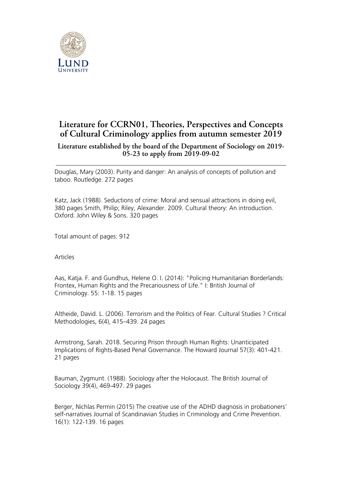

## **Literature for CCRN01, Theories, Perspectives and Concepts of Cultural Criminology applies from autumn semester 2019**

## **Literature established by the board of the Department of Sociology on 2019- 05-23 to apply from 2019-09-02**

Douglas, Mary (2003). Purity and danger: An analysis of concepts of pollution and taboo. Routledge. 272 pages

Katz, Jack (1988). Seductions of crime: Moral and sensual attractions in doing evil, 380 pages Smith, Philip; Riley, Alexander. 2009. Cultural theory: An introduction. Oxford: John Wiley & Sons. 320 pages

Total amount of pages: 912

Articles

Aas, Katja. F. and Gundhus, Helene O. I. (2014): "Policing Humanitarian Borderlands: Frontex, Human Rights and the Precariousness of Life." I: British Journal of Criminology. 55: 1-18. 15 pages

Altheide, David. L. (2006). Terrorism and the Politics of Fear. Cultural Studies ? Critical Methodologies, 6(4), 415–439. 24 pages

Armstrong, Sarah. 2018. Securing Prison through Human Rights: Unanticipated Implications of Rights-Based Penal Governance. The Howard Journal 57(3): 401-421. 21 pages

Bauman, Zygmunt. (1988). Sociology after the Holocaust. The British Journal of Sociology 39(4), 469-497. 29 pages

Berger, Nichlas Permin (2015) The creative use of the ADHD diagnosis in probationers' self-narratives Journal of Scandinavian Studies in Criminology and Crime Prevention. 16(1): 122-139. 16 pages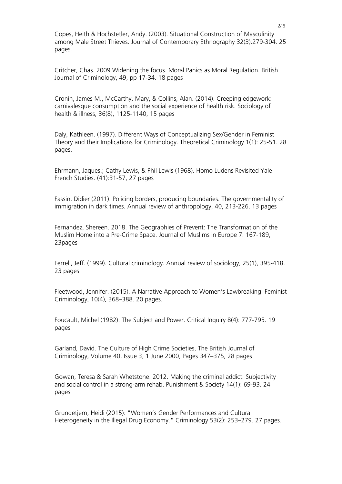Copes, Heith & Hochstetler, Andy. (2003). Situational Construction of Masculinity among Male Street Thieves. Journal of Contemporary Ethnography 32(3):279-304. 25 pages.

Critcher, Chas. 2009 Widening the focus. Moral Panics as Moral Regulation. British Journal of Criminology, 49, pp 17-34. 18 pages

Cronin, James M., McCarthy, Mary, & Collins, Alan. (2014). Creeping edgework: carnivalesque consumption and the social experience of health risk. Sociology of health & illness, 36(8), 1125-1140, 15 pages

Daly, Kathleen. (1997). Different Ways of Conceptualizing Sex/Gender in Feminist Theory and their Implications for Criminology. Theoretical Criminology 1(1): 25-51. 28 pages.

Ehrmann, Jaques.; Cathy Lewis, & Phil Lewis (1968). Homo Ludens Revisited Yale French Studies. (41):31-57, 27 pages

Fassin, Didier (2011). Policing borders, producing boundaries. The governmentality of immigration in dark times. Annual review of anthropology, 40, 213-226. 13 pages

Fernandez, Shereen. 2018. The Geographies of Prevent: The Transformation of the Muslim Home into a Pre-Crime Space. Journal of Muslims in Europe 7: 167-189, 23pages

Ferrell, Jeff. (1999). Cultural criminology. Annual review of sociology, 25(1), 395-418. 23 pages

Fleetwood, Jennifer. (2015). A Narrative Approach to Women's Lawbreaking. Feminist Criminology, 10(4), 368–388. 20 pages.

Foucault, Michel (1982): The Subject and Power. Critical Inquiry 8(4): 777-795. 19 pages

Garland, David. The Culture of High Crime Societies, The British Journal of Criminology, Volume 40, Issue 3, 1 June 2000, Pages 347–375, 28 pages

Gowan, Teresa & Sarah Whetstone. 2012. Making the criminal addict: Subjectivity and social control in a strong-arm rehab. Punishment & Society 14(1): 69-93. 24 pages

Grundetjern, Heidi (2015): "Women's Gender Performances and Cultural Heterogeneity in the Illegal Drug Economy." Criminology 53(2): 253–279. 27 pages.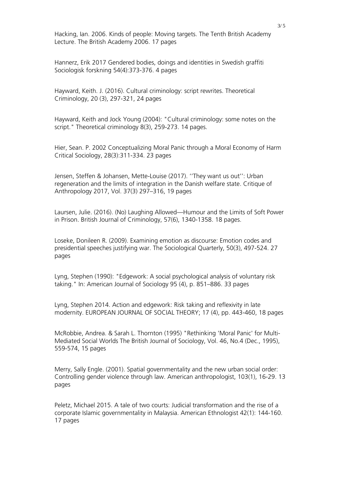Hacking, Ian. 2006. Kinds of people: Moving targets. The Tenth British Academy Lecture. The British Academy 2006. 17 pages

Hannerz, Erik 2017 Gendered bodies, doings and identities in Swedish graffiti Sociologisk forskning 54(4):373-376. 4 pages

Hayward, Keith. J. (2016). Cultural criminology: script rewrites. Theoretical Criminology, 20 (3), 297-321, 24 pages

Hayward, Keith and Jock Young (2004): "Cultural criminology: some notes on the script." Theoretical criminology 8(3), 259-273. 14 pages.

Hier, Sean. P. 2002 Conceptualizing Moral Panic through a Moral Economy of Harm Critical Sociology, 28(3):311-334. 23 pages

Jensen, Steffen & Johansen, Mette-Louise (2017). ''They want us out'': Urban regeneration and the limits of integration in the Danish welfare state. Critique of Anthropology 2017, Vol. 37(3) 297–316, 19 pages

Laursen, Julie. (2016). (No) Laughing Allowed—Humour and the Limits of Soft Power in Prison. British Journal of Criminology, 57(6), 1340-1358. 18 pages.

Loseke, Donileen R. (2009). Examining emotion as discourse: Emotion codes and presidential speeches justifying war. The Sociological Quarterly, 50(3), 497-524. 27 pages

Lyng, Stephen (1990): "Edgework: A social psychological analysis of voluntary risk taking." In: American Journal of Sociology 95 (4), p. 851–886. 33 pages

Lyng, Stephen 2014. Action and edgework: Risk taking and reflexivity in late modernity. EUROPEAN JOURNAL OF SOCIAL THEORY; 17 (4), pp. 443-460, 18 pages

McRobbie, Andrea. & Sarah L. Thornton (1995) "Rethinking 'Moral Panic' for Multi-Mediated Social Worlds The British Journal of Sociology, Vol. 46, No.4 (Dec., 1995), 559-574, 15 pages

Merry, Sally Engle. (2001). Spatial governmentality and the new urban social order: Controlling gender violence through law. American anthropologist, 103(1), 16-29. 13 pages

Peletz, Michael 2015. A tale of two courts: Judicial transformation and the rise of a corporate Islamic governmentality in Malaysia. American Ethnologist 42(1): 144-160. 17 pages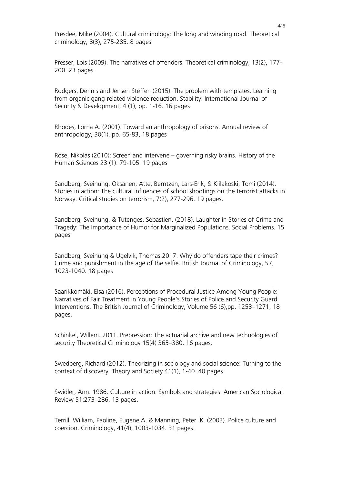Presdee, Mike (2004). Cultural criminology: The long and winding road. Theoretical criminology, 8(3), 275-285. 8 pages

Presser, Lois (2009). The narratives of offenders. Theoretical criminology, 13(2), 177- 200. 23 pages.

Rodgers, Dennis and Jensen Steffen (2015). The problem with templates: Learning from organic gang-related violence reduction. Stability: International Journal of Security & Development, 4 (1), pp. 1-16. 16 pages

Rhodes, Lorna A. (2001). Toward an anthropology of prisons. Annual review of anthropology, 30(1), pp. 65-83, 18 pages

Rose, Nikolas (2010): Screen and intervene – governing risky brains. History of the Human Sciences 23 (1): 79-105. 19 pages

Sandberg, Sveinung, Oksanen, Atte, Berntzen, Lars-Erik, & Kiilakoski, Tomi (2014). Stories in action: The cultural influences of school shootings on the terrorist attacks in Norway. Critical studies on terrorism, 7(2), 277-296. 19 pages.

Sandberg, Sveinung, & Tutenges, Sébastien. (2018). Laughter in Stories of Crime and Tragedy: The Importance of Humor for Marginalized Populations. Social Problems. 15 pages

Sandberg, Sveinung & Ugelvik, Thomas 2017. Why do offenders tape their crimes? Crime and punishment in the age of the selfie. British Journal of Criminology, 57, 1023-1040. 18 pages

Saarikkomäki, Elsa (2016). Perceptions of Procedural Justice Among Young People: Narratives of Fair Treatment in Young People's Stories of Police and Security Guard Interventions, The British Journal of Criminology, Volume 56 (6),pp. 1253–1271, 18 pages.

Schinkel, Willem. 2011. Prepression: The actuarial archive and new technologies of security Theoretical Criminology 15(4) 365–380. 16 pages.

Swedberg, Richard (2012). Theorizing in sociology and social science: Turning to the context of discovery. Theory and Society 41(1), 1-40. 40 pages.

Swidler, Ann. 1986. Culture in action: Symbols and strategies. American Sociological Review 51:273–286. 13 pages.

Terrill, William, Paoline, Eugene A. & Manning, Peter. K. (2003). Police culture and coercion. Criminology, 41(4), 1003-1034. 31 pages.